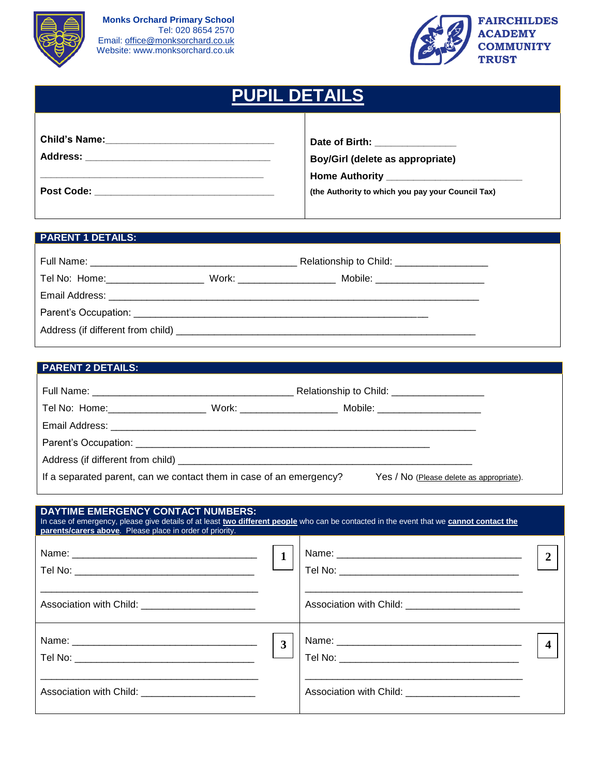



| <b>PUPIL DETAILS</b>     |  |                                                                                                                               |  |
|--------------------------|--|-------------------------------------------------------------------------------------------------------------------------------|--|
|                          |  | Date of Birth: ______________<br><b>Boy/Girl (delete as appropriate)</b><br>(the Authority to which you pay your Council Tax) |  |
|                          |  |                                                                                                                               |  |
| <b>PARENT 1 DETAILS:</b> |  |                                                                                                                               |  |
|                          |  |                                                                                                                               |  |
|                          |  | Tel No: Home: ____________________________ Work: ________________________________ Mobile: ____________________                |  |

Address (if different from child) \_\_\_\_\_\_\_\_\_\_\_\_\_\_\_\_\_\_\_\_\_\_\_\_\_\_\_\_\_\_\_\_\_\_\_\_\_\_\_\_\_\_\_\_\_\_\_\_\_\_\_\_\_\_\_

Email Address: \_\_\_\_\_\_\_\_\_\_\_\_\_\_\_\_\_\_\_\_\_\_\_\_\_\_\_\_\_\_\_\_\_\_\_\_\_\_\_\_\_\_\_\_\_\_\_\_\_\_\_\_\_\_\_\_\_\_\_\_\_\_\_\_\_\_\_\_ Parent's Occupation: \_\_\_\_\_\_\_\_\_\_\_\_\_\_\_\_\_\_\_\_\_\_\_\_\_\_\_\_\_\_\_\_\_\_\_\_\_\_\_\_\_\_\_\_\_\_\_\_\_\_\_\_\_\_

# **PARENT 2 DETAILS:**

|                                                                     |                                                                  | Relationship to Child: _____________________ |  |
|---------------------------------------------------------------------|------------------------------------------------------------------|----------------------------------------------|--|
| Tel No: Home: 1990 1990 1991                                        | Work: _________________________ Mobile: ________________________ |                                              |  |
|                                                                     |                                                                  |                                              |  |
|                                                                     |                                                                  |                                              |  |
|                                                                     |                                                                  |                                              |  |
| If a separated parent, can we contact them in case of an emergency? | Yes / No (Please delete as appropriate).                         |                                              |  |

| <b>DAYTIME EMERGENCY CONTACT NUMBERS:</b><br>In case of emergency, please give details of at least two different people who can be contacted in the event that we cannot contact the<br><b>parents/carers above.</b> Please place in order of priority. |                                                     |  |
|---------------------------------------------------------------------------------------------------------------------------------------------------------------------------------------------------------------------------------------------------------|-----------------------------------------------------|--|
|                                                                                                                                                                                                                                                         |                                                     |  |
| Association with Child: _________________________                                                                                                                                                                                                       | Association with Child: ___________________________ |  |
|                                                                                                                                                                                                                                                         |                                                     |  |
| Association with Child: __________________________                                                                                                                                                                                                      | Association with Child: __________________________  |  |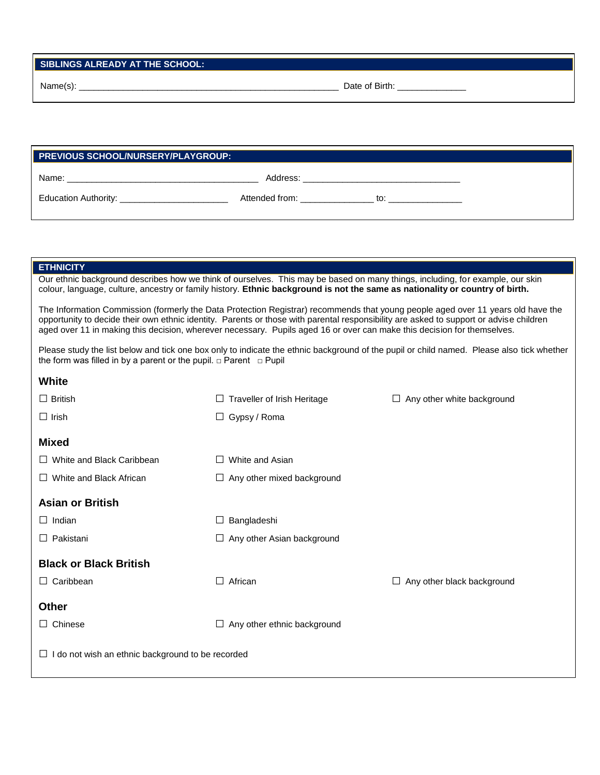Name(s): \_\_\_\_\_\_\_\_\_\_\_\_\_\_\_\_\_\_\_\_\_\_\_\_\_\_\_\_\_\_\_\_\_\_\_\_\_\_\_\_\_\_\_\_\_\_\_\_\_\_\_\_\_ Date of Birth: \_\_\_\_\_\_\_\_\_\_\_\_\_\_

| <b>PREVIOUS SCHOOL/NURSERY/PLAYGROUP:</b> |                |     |  |
|-------------------------------------------|----------------|-----|--|
| Name:                                     | Address:       |     |  |
| Education Authority:                      | Attended from: | to: |  |

#### **ETHNICITY**

| Our ethnic background describes how we think of ourselves. This may be based on many things, including, for example, our skin |  |
|-------------------------------------------------------------------------------------------------------------------------------|--|
| colour, language, culture, ancestry or family history. Ethnic background is not the same as nationality or country of birth.  |  |
|                                                                                                                               |  |

The Information Commission (formerly the Data Protection Registrar) recommends that young people aged over 11 years old have the opportunity to decide their own ethnic identity. Parents or those with parental responsibility are asked to support or advise children aged over 11 in making this decision, wherever necessary. Pupils aged 16 or over can make this decision for themselves.

Please study the list below and tick one box only to indicate the ethnic background of the pupil or child named. Please also tick whether the form was filled in by a parent or the pupil. □ Parent □ Pupil

| $\Box$ British                                         | Traveller of Irish Heritage<br>ш  | $\Box$ Any other white background |
|--------------------------------------------------------|-----------------------------------|-----------------------------------|
| $\Box$ Irish                                           | $\Box$ Gypsy / Roma               |                                   |
| <b>Mixed</b>                                           |                                   |                                   |
| White and Black Caribbean<br>$\perp$                   | White and Asian<br>$\perp$        |                                   |
| White and Black African<br>$\Box$                      | $\Box$ Any other mixed background |                                   |
| <b>Asian or British</b>                                |                                   |                                   |
| Indian                                                 | Bangladeshi<br>$\Box$             |                                   |
| Pakistani<br>$\perp$                                   | $\Box$ Any other Asian background |                                   |
| <b>Black or Black British</b>                          |                                   |                                   |
| Caribbean<br>⊔                                         | African<br>$\Box$                 | Any other black background<br>⊔   |
| <b>Other</b>                                           |                                   |                                   |
| Chinese<br>$\perp$                                     | Any other ethnic background<br>Ш  |                                   |
| I do not wish an ethnic background to be recorded<br>⊔ |                                   |                                   |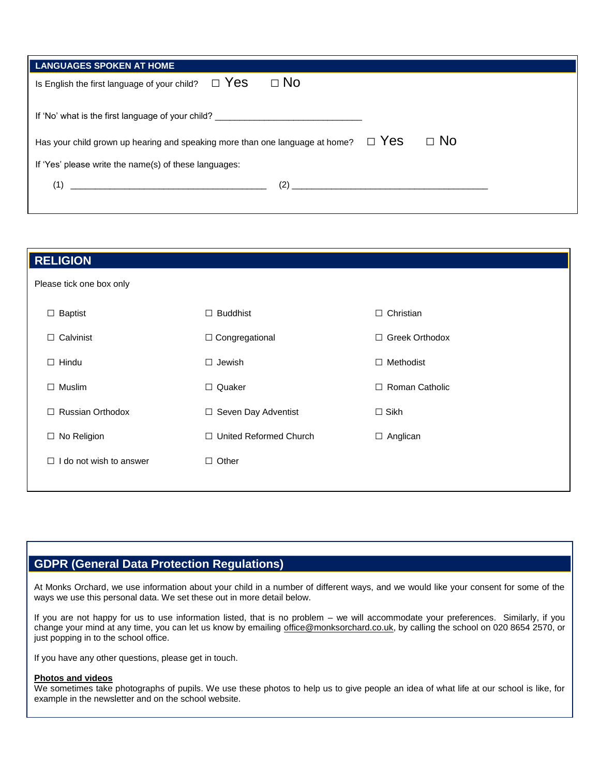| LANGUAGES SPOKEN AT HOME                                                                                                                                                                                                            |              |           |  |
|-------------------------------------------------------------------------------------------------------------------------------------------------------------------------------------------------------------------------------------|--------------|-----------|--|
| Is English the first language of your child? $\square$ Yes                                                                                                                                                                          | $\square$ No |           |  |
|                                                                                                                                                                                                                                     |              |           |  |
| If 'No' what is the first language of your child? ______________________________                                                                                                                                                    |              |           |  |
| Has your child grown up hearing and speaking more than one language at home? $\square$ Yes                                                                                                                                          |              | $\Box$ No |  |
| If 'Yes' please write the name(s) of these languages:                                                                                                                                                                               |              |           |  |
| $(2)$ and $(2)$ and $(3)$ and $(4)$ and $(5)$ and $(6)$ and $(7)$ and $(8)$ and $(8)$ and $(9)$ and $(10)$ and $(11)$ and $(12)$ and $(13)$ and $(15)$ and $(17)$ and $(17)$ and $(17)$ and $(17)$ and $(17)$ and $(17)$ and<br>(1) |              |           |  |

| <b>RELIGION</b>                   |                               |                       |
|-----------------------------------|-------------------------------|-----------------------|
| Please tick one box only          |                               |                       |
| $\Box$ Baptist                    | <b>Buddhist</b><br>$\Box$     | $\Box$ Christian      |
| $\Box$ Calvinist                  | □ Congregational              | □ Greek Orthodox      |
| $\Box$ Hindu                      | $\Box$ Jewish                 | $\Box$ Methodist      |
| $\Box$ Muslim                     | $\Box$ Quaker                 | $\Box$ Roman Catholic |
| <b>Russian Orthodox</b><br>$\Box$ | □ Seven Day Adventist         | $\Box$ Sikh           |
| $\Box$ No Religion                | $\Box$ United Reformed Church | $\Box$ Anglican       |
| do not wish to answer<br>$\Box$   | $\Box$ Other                  |                       |
|                                   |                               |                       |

# **GDPR (General Data Protection Regulations)**

At Monks Orchard, we use information about your child in a number of different ways, and we would like your consent for some of the ways we use this personal data. We set these out in more detail below.

If you are not happy for us to use information listed, that is no problem – we will accommodate your preferences. Similarly, if you change your mind at any time, you can let us know by emailing [office@monksorchard.co.uk,](mailto:office@monksorchard.co.uk) by calling the school on 020 8654 2570, or just popping in to the school office.

If you have any other questions, please get in touch.

#### **Photos and videos**

We sometimes take photographs of pupils. We use these photos to help us to give people an idea of what life at our school is like, for example in the newsletter and on the school website.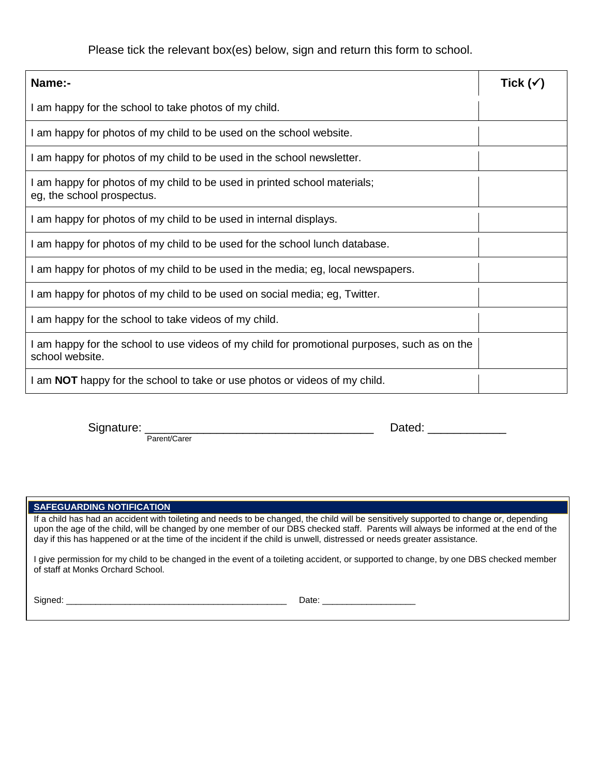Please tick the relevant box(es) below, sign and return this form to school.

| <b>Name:-</b>                                                                                                   | Tick (✔ |
|-----------------------------------------------------------------------------------------------------------------|---------|
| I am happy for the school to take photos of my child.                                                           |         |
| I am happy for photos of my child to be used on the school website.                                             |         |
| I am happy for photos of my child to be used in the school newsletter.                                          |         |
| I am happy for photos of my child to be used in printed school materials;<br>eg, the school prospectus.         |         |
| I am happy for photos of my child to be used in internal displays.                                              |         |
| I am happy for photos of my child to be used for the school lunch database.                                     |         |
| I am happy for photos of my child to be used in the media; eg, local newspapers.                                |         |
| I am happy for photos of my child to be used on social media; eg, Twitter.                                      |         |
| I am happy for the school to take videos of my child.                                                           |         |
| I am happy for the school to use videos of my child for promotional purposes, such as on the<br>school website. |         |
| I am <b>NOT</b> happy for the school to take or use photos or videos of my child.                               |         |

Parent/Carer

 $\blacksquare$  Dated:  $\blacksquare$ 

#### **SAFEGUARDING NOTIFICATION**

If a child has had an accident with toileting and needs to be changed, the child will be sensitively supported to change or, depending upon the age of the child, will be changed by one member of our DBS checked staff. Parents will always be informed at the end of the day if this has happened or at the time of the incident if the child is unwell, distressed or needs greater assistance.

I give permission for my child to be changed in the event of a toileting accident, or supported to change, by one DBS checked member of staff at Monks Orchard School.

Signed: \_\_\_\_\_\_\_\_\_\_\_\_\_\_\_\_\_\_\_\_\_\_\_\_\_\_\_\_\_\_\_\_\_\_\_\_\_\_\_\_\_\_\_\_\_ Date: \_\_\_\_\_\_\_\_\_\_\_\_\_\_\_\_\_\_\_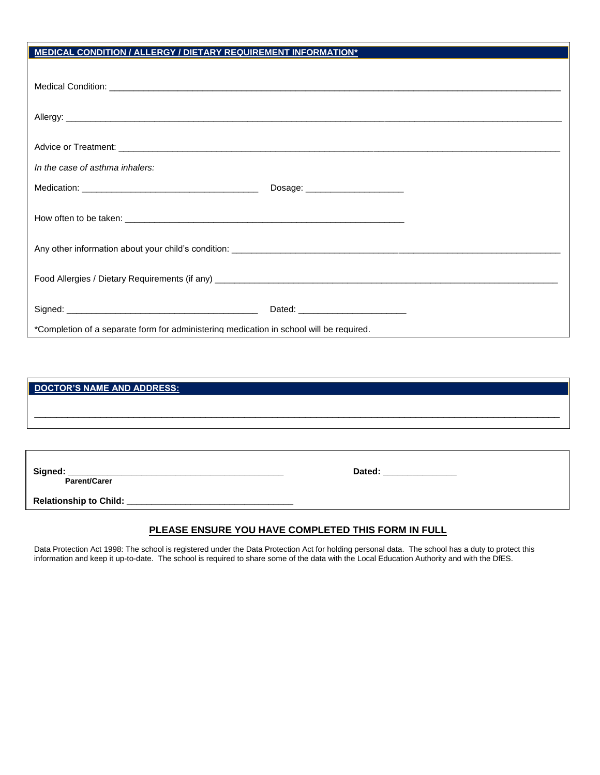# **MEDICAL CONDITION / ALLERGY / DIETARY REQUIREMENT INFORMATION\***

| In the case of asthma inhalers:                                                         |                                  |  |  |
|-----------------------------------------------------------------------------------------|----------------------------------|--|--|
|                                                                                         | Dosage: ________________________ |  |  |
|                                                                                         |                                  |  |  |
|                                                                                         |                                  |  |  |
|                                                                                         |                                  |  |  |
|                                                                                         |                                  |  |  |
|                                                                                         |                                  |  |  |
|                                                                                         |                                  |  |  |
|                                                                                         |                                  |  |  |
|                                                                                         |                                  |  |  |
| *Completion of a separate form for administering medication in school will be required. |                                  |  |  |

| DOCTOR'S NAME AND ADDRESS: |                           |
|----------------------------|---------------------------|
|                            |                           |
|                            |                           |
|                            |                           |
|                            |                           |
| Parent/Carer               | Dated: __________________ |
|                            |                           |
|                            |                           |

### **PLEASE ENSURE YOU HAVE COMPLETED THIS FORM IN FULL**

Data Protection Act 1998: The school is registered under the Data Protection Act for holding personal data. The school has a duty to protect this information and keep it up-to-date. The school is required to share some of the data with the Local Education Authority and with the DfES.